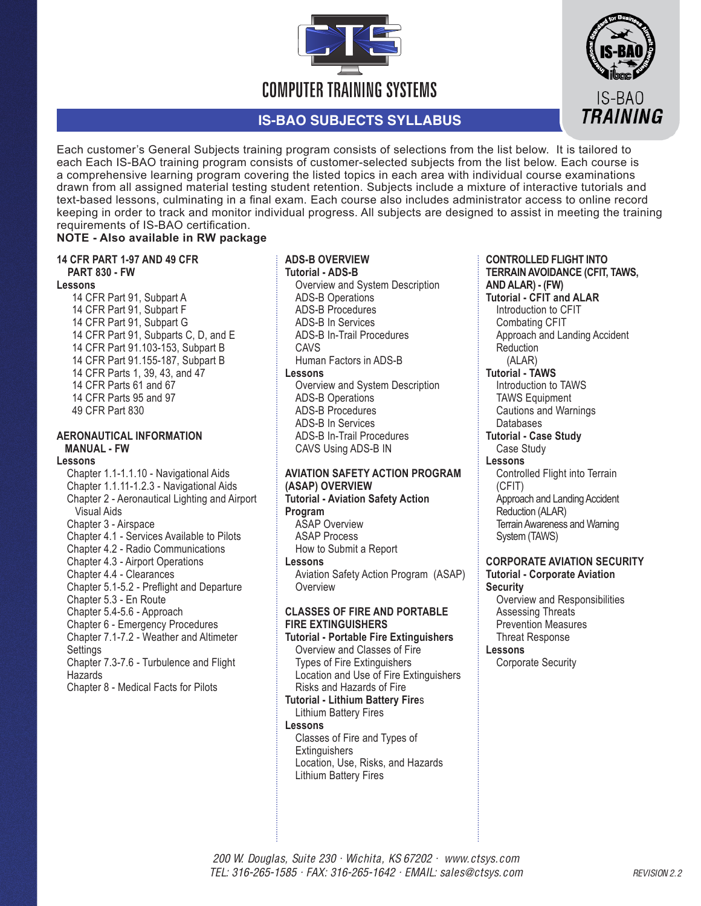

# **IS-BAO SUBJECTS SYLLABUS**



# **NOTE - Also available in RW package**

#### **14 CFR PART 1-97 AND 49 CFR PART 830 - FW**

# **Lessons**

14 CFR Part 91, Subpart A 14 CFR Part 91, Subpart F 14 CFR Part 91, Subpart G 14 CFR Part 91, Subparts C, D, and E 14 CFR Part 91.103-153, Subpart B 14 CFR Part 91.155-187, Subpart B 14 CFR Parts 1, 39, 43, and 47 14 CFR Parts 61 and 67 14 CFR Parts 95 and 97 49 CFR Part 830

# **AERONAUTICAL INFORMATION MANUAL - FW**

#### **Lessons**

Chapter 1.1-1.1.10 - Navigational Aids Chapter 1.1.11-1.2.3 - Navigational Aids Chapter 2 - Aeronautical Lighting and Airport Visual Aids Chapter 3 - Airspace Chapter 4.1 - Services Available to Pilots Chapter 4.2 - Radio Communications Chapter 4.3 - Airport Operations Chapter 4.4 - Clearances Chapter 5.1-5.2 - Preflight and Departure Chapter 5.3 - En Route Chapter 5.4-5.6 - Approach Chapter 6 - Emergency Procedures Chapter 7.1-7.2 - Weather and Altimeter **Settings** Chapter 7.3-7.6 - Turbulence and Flight **Hazards** Chapter 8 - Medical Facts for Pilots

# **ADS-B OVERVIEW**

**Tutorial - ADS-B** Overview and System Description ADS-B Operations ADS-B Procedures ADS-B In Services ADS-B In-Trail Procedures CAVS Human Factors in ADS-B **Lessons**  Overview and System Description ADS-B Operations ADS-B Procedures ADS-B In Services ADS-B In-Trail Procedures CAVS Using ADS-B IN

## **AVIATION SAFETY ACTION PROGRAM (ASAP) OVERVIEW**

#### **Tutorial - Aviation Safety Action Program**

ASAP Overview ASAP Process How to Submit a Report **Lessons**  Aviation Safety Action Program (ASAP) **Overview** 

# **CLASSES OF FIRE AND PORTABLE FIRE EXTINGUISHERS**

**Tutorial - Portable Fire Extinguishers** Overview and Classes of Fire Types of Fire Extinguishers Location and Use of Fire Extinguishers Risks and Hazards of Fire **Tutorial - Lithium Battery Fire**s

Lithium Battery Fires **Lessons**  Classes of Fire and Types of **Extinguishers** Location, Use, Risks, and Hazards

Lithium Battery Fires

#### **CONTROLLED FLIGHT INTO TERRAIN AVOIDANCE (CFIT, TAWS, AND ALAR) - (FW) Tutorial - CFIT and ALAR**

IS-BAO **TRAINING** 

Introduction to CFIT Combating CFIT Approach and Landing Accident **Reduction**  (ALAR) **Tutorial - TAWS** Introduction to TAWS TAWS Equipment Cautions and Warnings Databases **Tutorial - Case Study** Case Study **Lessons**  Controlled Flight into Terrain (CFIT) Approach and Landing Accident Reduction (ALAR) Terrain Awareness and Warning System (TAWS)

#### **CORPORATE AVIATION SECURITY Tutorial - Corporate Aviation Security**

Overview and Responsibilities Assessing Threats Prevention Measures Threat Response

# **Lessons**

Corporate Security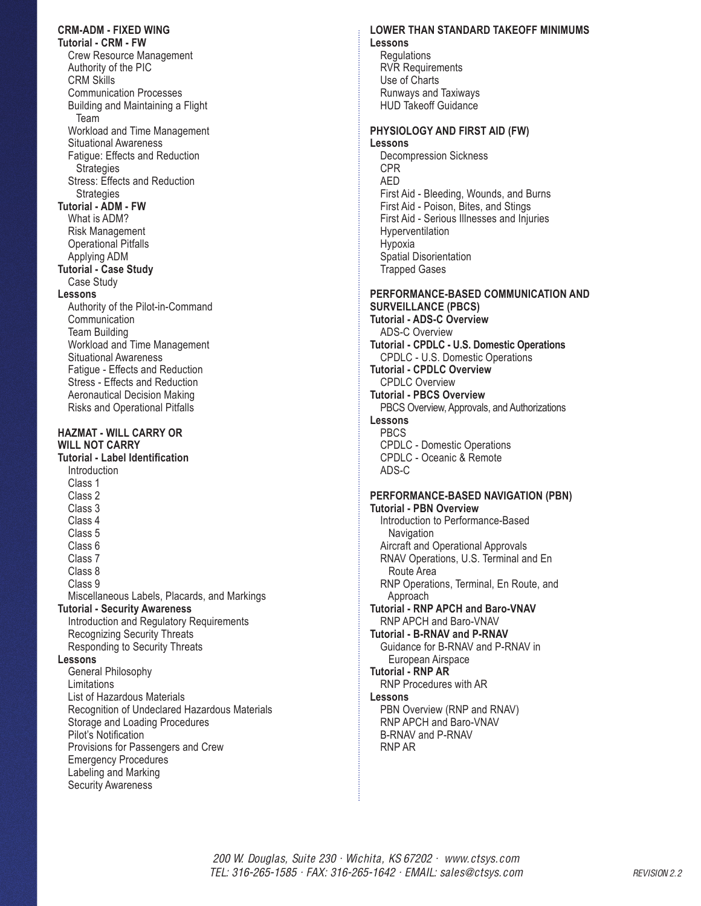## **CRM-ADM - FIXED WING Tutorial - CRM - FW** Crew Resource Management Authority of the PIC CRM Skills Communication Processes Building and Maintaining a Flight Team Workload and Time Management Situational Awareness Fatigue: Effects and Reduction **Strategies** Stress: Effects and Reduction **Strategies Tutorial - ADM - FW** What is ADM? Risk Management Operational Pitfalls Applying ADM **Tutorial - Case Study** Case Study **Lessons**  Authority of the Pilot-in-Command **Communication** Team Building Workload and Time Management Situational Awareness Fatigue - Effects and Reduction Stress - Effects and Reduction Aeronautical Decision Making Risks and Operational Pitfalls **HAZMAT - WILL CARRY OR WILL NOT CARRY Tutorial - Label Identification** Introduction Class 1 Class 2 Class 3 Class 4 Class 5 Class 6 Class 7 Class 8 Class 9 Miscellaneous Labels, Placards, and Markings **Tutorial - Security Awareness** Introduction and Regulatory Requirements Recognizing Security Threats Responding to Security Threats **Lessons** General Philosophy Limitations List of Hazardous Materials Recognition of Undeclared Hazardous Materials Storage and Loading Procedures Pilot's Notification Provisions for Passengers and Crew Emergency Procedures Labeling and Marking Security Awareness

#### **LOWER THAN STANDARD TAKEOFF MINIMUMS Lessons**

**Regulations** RVR Requirements Use of Charts Runways and Taxiways HUD Takeoff Guidance

#### **PHYSIOLOGY AND FIRST AID (FW) Lessons**

Decompression Sickness CPR AED First Aid - Bleeding, Wounds, and Burns First Aid - Poison, Bites, and Stings First Aid - Serious Illnesses and Injuries Hyperventilation Hypoxia Spatial Disorientation Trapped Gases

#### **PERFORMANCE-BASED COMMUNICATION AND SURVEILLANCE (PBCS) Tutorial - ADS-C Overview**

ADS-C Overview **Tutorial - CPDLC - U.S. Domestic Operations** CPDLC - U.S. Domestic Operations **Tutorial - CPDLC Overview** CPDLC Overview **Tutorial - PBCS Overview** PBCS Overview, Approvals, and Authorizations **Lessons** PBCS CPDLC - Domestic Operations CPDLC - Oceanic & Remote ADS-C

## **PERFORMANCE-BASED NAVIGATION (PBN) Tutorial - PBN Overview** Introduction to Performance-Based **Navigation** Aircraft and Operational Approvals RNAV Operations, U.S. Terminal and En Route Area RNP Operations, Terminal, En Route, and Approach **Tutorial - RNP APCH and Baro-VNAV** RNP APCH and Baro-VNAV **Tutorial - B-RNAV and P-RNAV** Guidance for B-RNAV and P-RNAV in European Airspace **Tutorial - RNP AR** RNP Procedures with AR **Lessons**  PBN Overview (RNP and RNAV) RNP APCH and Baro-VNAV B-RNAV and P-RNAV RNP AR